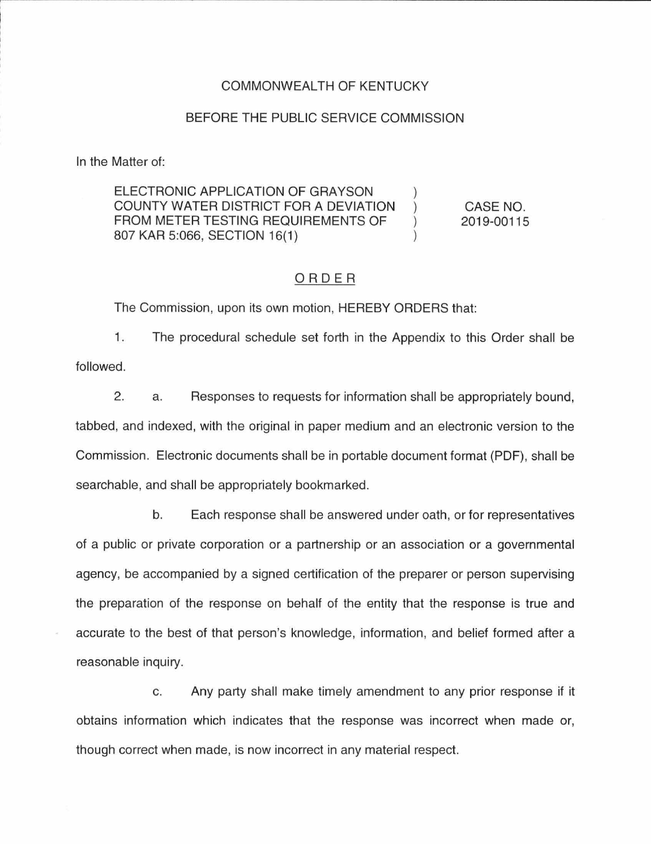#### COMMONWEALTH OF KENTUCKY

#### BEFORE THE PUBLIC SERVICE COMMISSION

In the Matter of:

ELECTRONIC APPLICATION OF GRAYSON COUNTY WATER DISTRICT FOR A DEVIATION CASE NO.  $\mathcal{L}$ FROM METER TESTING REQUIREMENTS OF 2019-00115  $\mathcal{E}$ 807 KAR 5:066, SECTION 16(1)

### ORDER

The Commission, upon its own motion, HEREBY ORDERS that:

1. The procedural schedule set forth in the Appendix to this Order shall be followed.

2. a. Responses to requests for information shall be appropriately bound, tabbed, and indexed, with the original in paper medium and an electronic version to the Commission. Electronic documents shall be in portable document format (PDF), shall be searchable, and shall be appropriately bookmarked.

b. Each response shall be answered under oath, or for representatives of a public or private corporation or a partnership or an association or a governmental agency, be accompanied by a signed certification of the preparer or person supervising the preparation of the response on behalf of the entity that the response is true and accurate to the best of that person's knowledge, information, and belief formed after a reasonable inquiry.

c. Any party shall make timely amendment to any prior response if it obtains information which indicates that the response was incorrect when made or, though correct when made, is now incorrect in any material respect.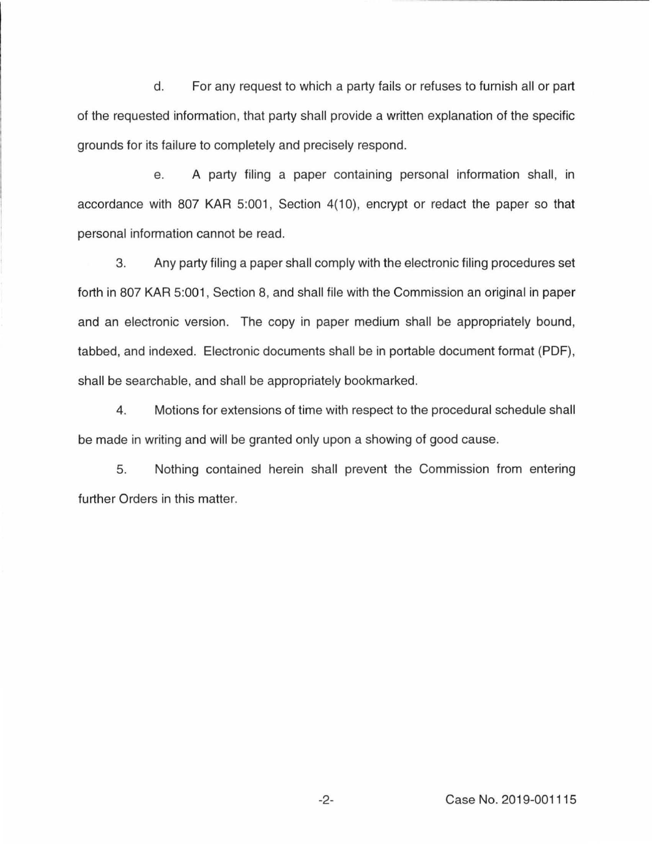d. For any request to which a party fails or refuses to furnish all or part of the requested information, that party shall provide a written explanation of the specific grounds for its failure to completely and precisely respond.

e. A party filing a paper containing personal information shall, in accordance with 807 KAR 5:001, Section 4(10), encrypt or redact the paper so that personal information cannot be read.

3. Any party filing a paper shall comply with the electronic filing procedures set forth in 807 KAR 5:001, Section 8, and shall file with the Commission an original in paper and an electronic version. The copy in paper medium shall be appropriately bound, tabbed, and indexed. Electronic documents shall be in portable document format (PDF), shall be searchable, and shall be appropriately bookmarked.

4. Motions for extensions of time with respect to the procedural schedule shall be made in writing and will be granted only upon a showing of good cause.

5. Nothing contained herein shall prevent the Commission from entering further Orders in this matter.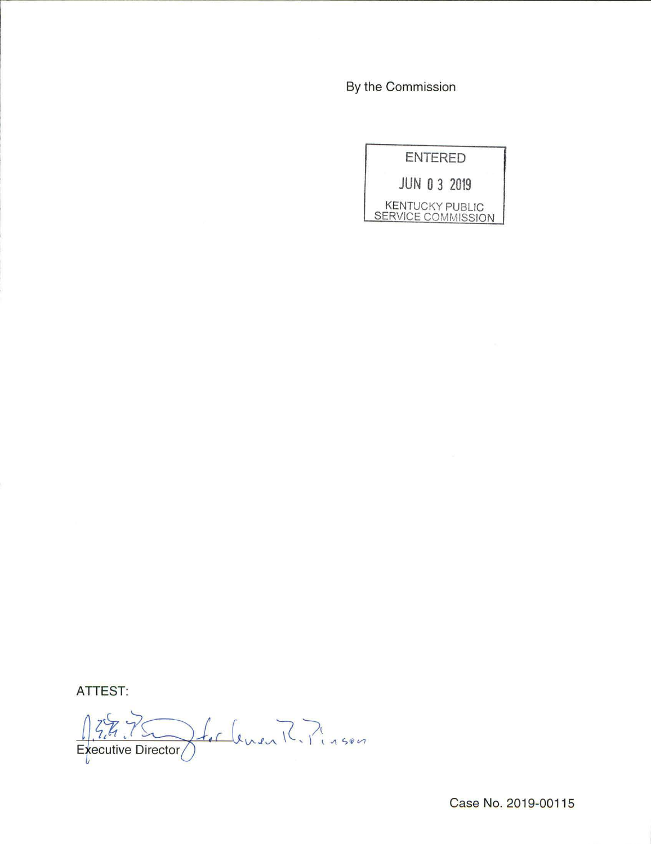By the Commission



**ATTEST:** 

Italement Pinson  $37.70$ Executive Director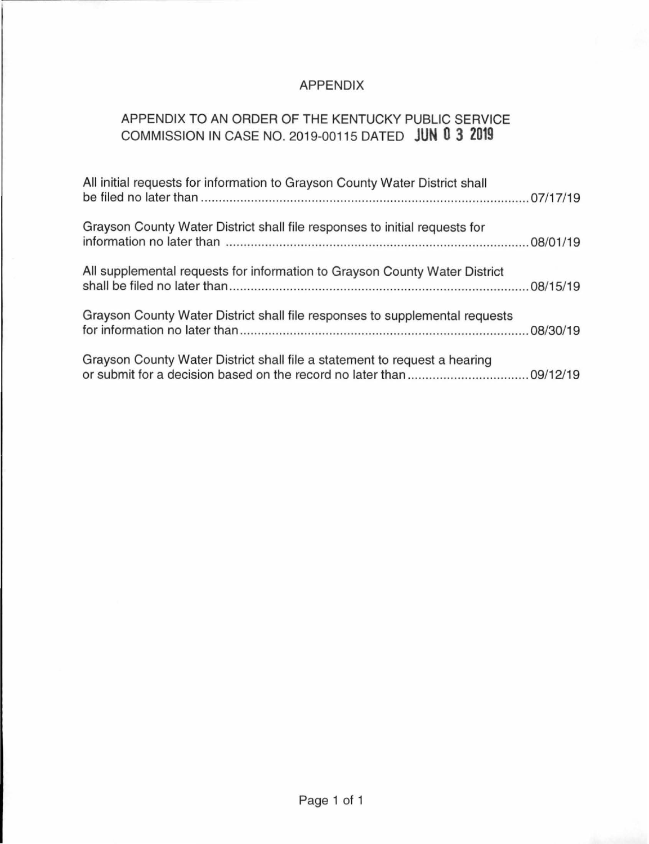## APPENDIX

# APPENDIX TO AN ORDER OF THE KENTUCKY PUBLIC SERVICE COMMISSION IN CASE NO. 2019-00115 DATED **JUN 0 3 2019**

| All initial requests for information to Grayson County Water District shall |  |
|-----------------------------------------------------------------------------|--|
| Grayson County Water District shall file responses to initial requests for  |  |
| All supplemental requests for information to Grayson County Water District  |  |
| Grayson County Water District shall file responses to supplemental requests |  |
| Grayson County Water District shall file a statement to request a hearing   |  |